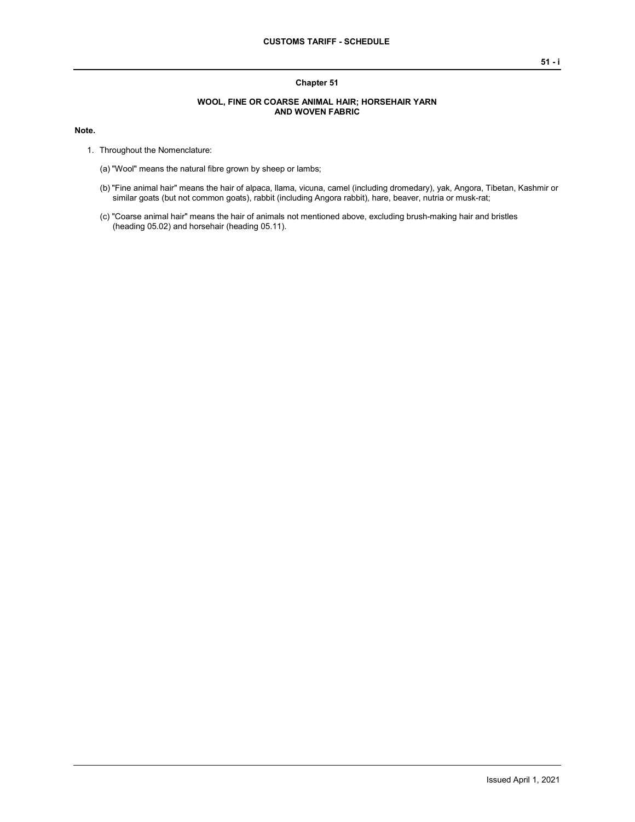## **Chapter 51**

## **WOOL, FINE OR COARSE ANIMAL HAIR; HORSEHAIR YARN AND WOVEN FABRIC**

## **Note.**

- 1. Throughout the Nomenclature:
	- (a) "Wool" means the natural fibre grown by sheep or lambs;
	- (b) "Fine animal hair" means the hair of alpaca, llama, vicuna, camel (including dromedary), yak, Angora, Tibetan, Kashmir or similar goats (but not common goats), rabbit (including Angora rabbit), hare, beaver, nutria or musk-rat;
	- (c) "Coarse animal hair" means the hair of animals not mentioned above, excluding brush-making hair and bristles (heading 05.02) and horsehair (heading 05.11).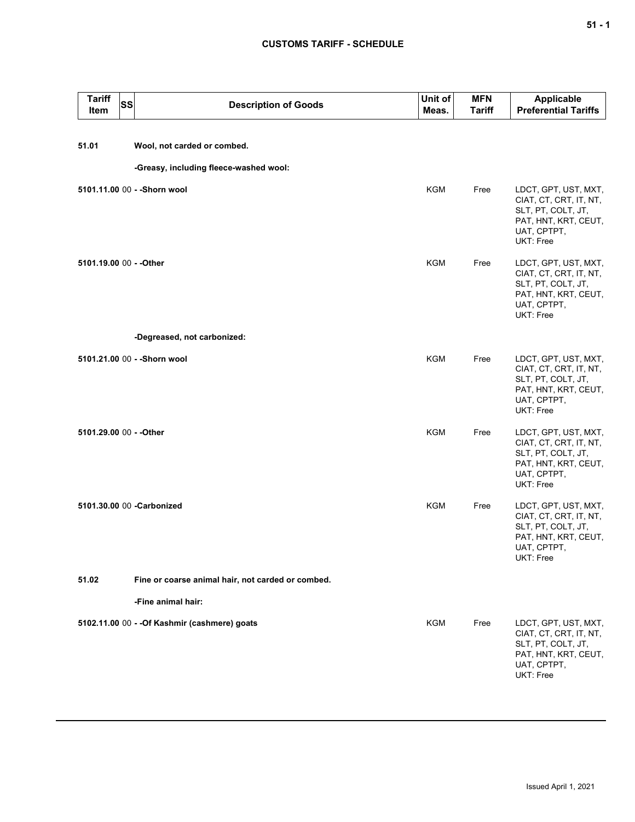## **CUSTOMS TARIFF - SCHEDULE**

| <b>Tariff</b><br><b>SS</b><br>Item | <b>Description of Goods</b>                       | Unit of<br>Meas. | <b>MFN</b><br><b>Tariff</b> | Applicable<br><b>Preferential Tariffs</b>                                                                                |
|------------------------------------|---------------------------------------------------|------------------|-----------------------------|--------------------------------------------------------------------------------------------------------------------------|
| 51.01                              | Wool, not carded or combed.                       |                  |                             |                                                                                                                          |
|                                    | -Greasy, including fleece-washed wool:            |                  |                             |                                                                                                                          |
|                                    | 5101.11.00 00 - - Shorn wool                      | <b>KGM</b>       | Free                        | LDCT, GPT, UST, MXT,<br>CIAT, CT, CRT, IT, NT,<br>SLT, PT, COLT, JT,<br>PAT, HNT, KRT, CEUT,<br>UAT, CPTPT,<br>UKT: Free |
| 5101.19.00 00 - - Other            |                                                   | <b>KGM</b>       | Free                        | LDCT, GPT, UST, MXT,<br>CIAT, CT, CRT, IT, NT,<br>SLT, PT, COLT, JT,<br>PAT, HNT, KRT, CEUT,<br>UAT, CPTPT,<br>UKT: Free |
|                                    | -Degreased, not carbonized:                       |                  |                             |                                                                                                                          |
|                                    | 5101.21.00 00 - - Shorn wool                      | <b>KGM</b>       | Free                        | LDCT, GPT, UST, MXT,<br>CIAT, CT, CRT, IT, NT,<br>SLT, PT, COLT, JT,<br>PAT, HNT, KRT, CEUT,<br>UAT, CPTPT,<br>UKT: Free |
| 5101.29.00 00 - - Other            |                                                   | KGM              | Free                        | LDCT, GPT, UST, MXT,<br>CIAT, CT, CRT, IT, NT,<br>SLT, PT, COLT, JT,<br>PAT, HNT, KRT, CEUT,<br>UAT, CPTPT,<br>UKT: Free |
|                                    | 5101.30.00 00 -Carbonized                         | KGM              | Free                        | LDCT, GPT, UST, MXT,<br>CIAT, CT, CRT, IT, NT,<br>SLT, PT, COLT, JT,<br>PAT, HNT, KRT, CEUT,<br>UAT, CPTPT,<br>UKT: Free |
| 51.02                              | Fine or coarse animal hair, not carded or combed. |                  |                             |                                                                                                                          |
|                                    | -Fine animal hair:                                |                  |                             |                                                                                                                          |
|                                    | 5102.11.00 00 - - Of Kashmir (cashmere) goats     | KGM              | Free                        | LDCT, GPT, UST, MXT,<br>CIAT, CT, CRT, IT, NT,<br>SLT, PT, COLT, JT,<br>PAT, HNT, KRT, CEUT,<br>UAT, CPTPT,<br>UKT: Free |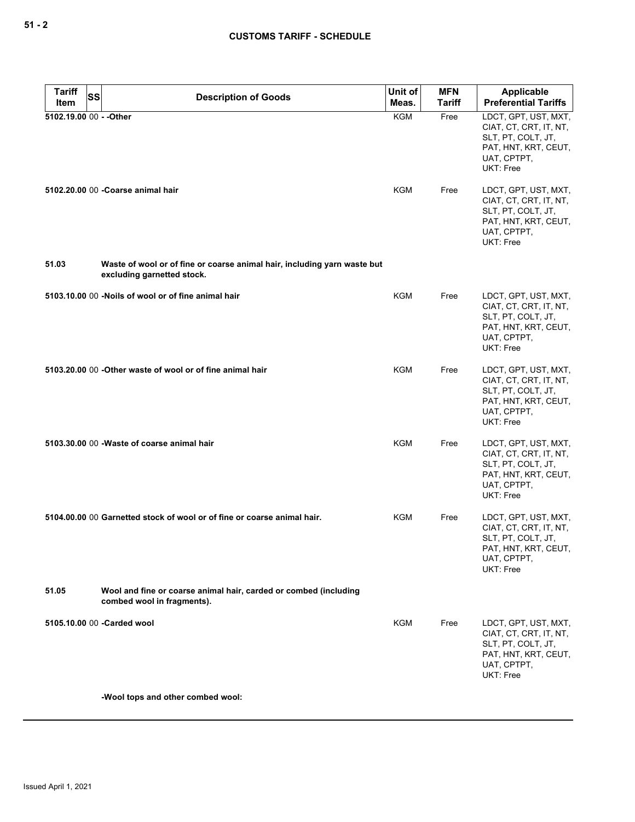| <b>Tariff</b> | SS | <b>Description of Goods</b>                                                                            | Unit of<br>Meas. | <b>MFN</b><br>Tariff | <b>Applicable</b><br><b>Preferential Tariffs</b>                                                                         |
|---------------|----|--------------------------------------------------------------------------------------------------------|------------------|----------------------|--------------------------------------------------------------------------------------------------------------------------|
| Item          |    | 5102.19.00 00 - - Other                                                                                | <b>KGM</b>       | Free                 | LDCT, GPT, UST, MXT,                                                                                                     |
|               |    |                                                                                                        |                  |                      | CIAT, CT, CRT, IT, NT,<br>SLT, PT, COLT, JT,<br>PAT, HNT, KRT, CEUT,<br>UAT, CPTPT,<br>UKT: Free                         |
|               |    | 5102.20.00 00 - Coarse animal hair                                                                     | <b>KGM</b>       | Free                 | LDCT, GPT, UST, MXT,<br>CIAT, CT, CRT, IT, NT,<br>SLT, PT, COLT, JT,<br>PAT, HNT, KRT, CEUT,<br>UAT, CPTPT,<br>UKT: Free |
| 51.03         |    | Waste of wool or of fine or coarse animal hair, including yarn waste but<br>excluding garnetted stock. |                  |                      |                                                                                                                          |
|               |    | 5103.10.00 00 -Noils of wool or of fine animal hair                                                    | <b>KGM</b>       | Free                 | LDCT, GPT, UST, MXT,<br>CIAT, CT, CRT, IT, NT,<br>SLT, PT, COLT, JT,<br>PAT, HNT, KRT, CEUT,<br>UAT, CPTPT,<br>UKT: Free |
|               |    | 5103.20.00 00 - Other waste of wool or of fine animal hair                                             | <b>KGM</b>       | Free                 | LDCT, GPT, UST, MXT,<br>CIAT, CT, CRT, IT, NT,<br>SLT, PT, COLT, JT,<br>PAT, HNT, KRT, CEUT,<br>UAT, CPTPT,<br>UKT: Free |
|               |    | 5103.30.00 00 - Waste of coarse animal hair                                                            | KGM              | Free                 | LDCT, GPT, UST, MXT,<br>CIAT, CT, CRT, IT, NT,<br>SLT, PT, COLT, JT,<br>PAT, HNT, KRT, CEUT,<br>UAT, CPTPT,<br>UKT: Free |
|               |    | 5104.00.00 00 Garnetted stock of wool or of fine or coarse animal hair.                                | KGM              | Free                 | LDCT, GPT, UST, MXT,<br>CIAT, CT, CRT, IT, NT,<br>SLT, PT, COLT, JT,<br>PAT, HNT, KRT, CEUT,<br>UAT, CPTPT,<br>UKT: Free |
| 51.05         |    | Wool and fine or coarse animal hair, carded or combed (including<br>combed wool in fragments).         |                  |                      |                                                                                                                          |
|               |    | 5105.10.00 00 - Carded wool                                                                            | <b>KGM</b>       | Free                 | LDCT, GPT, UST, MXT,<br>CIAT, CT, CRT, IT, NT,<br>SLT, PT, COLT, JT,<br>PAT, HNT, KRT, CEUT,<br>UAT, CPTPT,<br>UKT: Free |
|               |    | -Wool tops and other combed wool:                                                                      |                  |                      |                                                                                                                          |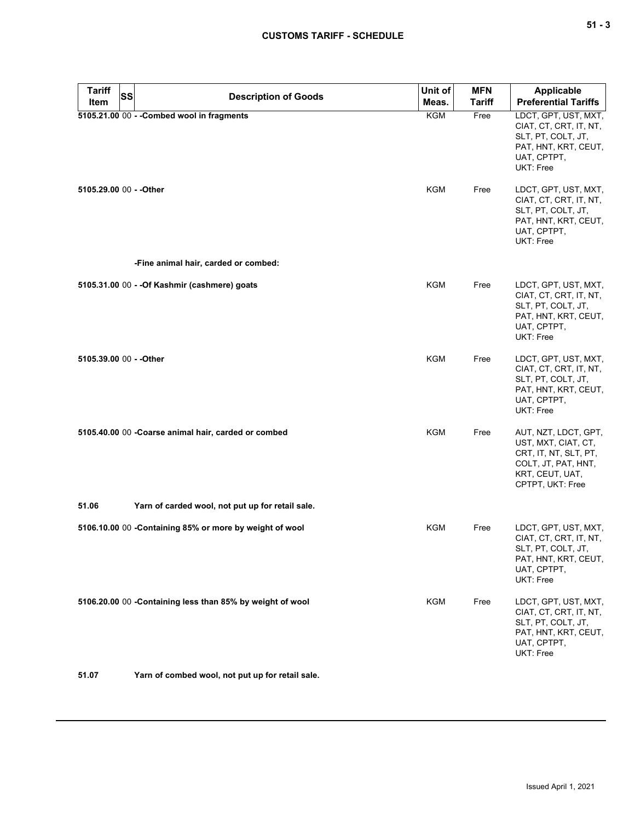| <b>Tariff</b>           | <b>SS</b> |                                                           | Unit of    | <b>MFN</b>    | <b>Applicable</b>                                                                                                                  |
|-------------------------|-----------|-----------------------------------------------------------|------------|---------------|------------------------------------------------------------------------------------------------------------------------------------|
| Item                    |           | <b>Description of Goods</b>                               | Meas.      | <b>Tariff</b> | <b>Preferential Tariffs</b>                                                                                                        |
|                         |           | 5105.21.00 00 - - Combed wool in fragments                | KGM        | Free          | LDCT, GPT, UST, MXT,<br>CIAT, CT, CRT, IT, NT,<br>SLT, PT, COLT, JT,<br>PAT, HNT, KRT, CEUT,<br>UAT, CPTPT,<br>UKT: Free           |
| 5105.29.00 00 - - Other |           |                                                           | <b>KGM</b> | Free          | LDCT, GPT, UST, MXT,<br>CIAT, CT, CRT, IT, NT,<br>SLT, PT, COLT, JT,<br>PAT, HNT, KRT, CEUT,<br>UAT, CPTPT,<br>UKT: Free           |
|                         |           | -Fine animal hair, carded or combed:                      |            |               |                                                                                                                                    |
|                         |           | 5105.31.00 00 - - Of Kashmir (cashmere) goats             | KGM        | Free          | LDCT, GPT, UST, MXT,<br>CIAT, CT, CRT, IT, NT,<br>SLT, PT, COLT, JT,<br>PAT, HNT, KRT, CEUT,<br>UAT, CPTPT,<br>UKT: Free           |
| 5105.39.00 00 - - Other |           |                                                           | <b>KGM</b> | Free          | LDCT, GPT, UST, MXT,<br>CIAT, CT, CRT, IT, NT,<br>SLT, PT, COLT, JT,<br>PAT, HNT, KRT, CEUT,<br>UAT, CPTPT,<br>UKT: Free           |
|                         |           | 5105.40.00 00 - Coarse animal hair, carded or combed      | KGM        | Free          | AUT, NZT, LDCT, GPT,<br>UST, MXT, CIAT, CT,<br>CRT, IT, NT, SLT, PT,<br>COLT, JT, PAT, HNT,<br>KRT, CEUT, UAT,<br>CPTPT, UKT: Free |
| 51.06                   |           | Yarn of carded wool, not put up for retail sale.          |            |               |                                                                                                                                    |
|                         |           | 5106.10.00 00 -Containing 85% or more by weight of wool   | KGM        | Free          | LDCT, GPT, UST, MXT,<br>CIAT, CT, CRT, IT, NT,<br>SLT, PT, COLT, JT,<br>PAT, HNT, KRT, CEUT,<br>UAT, CPTPT,<br>UKT: Free           |
|                         |           | 5106.20.00 00 -Containing less than 85% by weight of wool | <b>KGM</b> | Free          | LDCT, GPT, UST, MXT,<br>CIAT, CT, CRT, IT, NT,<br>SLT, PT, COLT, JT,<br>PAT, HNT, KRT, CEUT,<br>UAT, CPTPT,<br>UKT: Free           |
| 51.07                   |           | Yarn of combed wool, not put up for retail sale.          |            |               |                                                                                                                                    |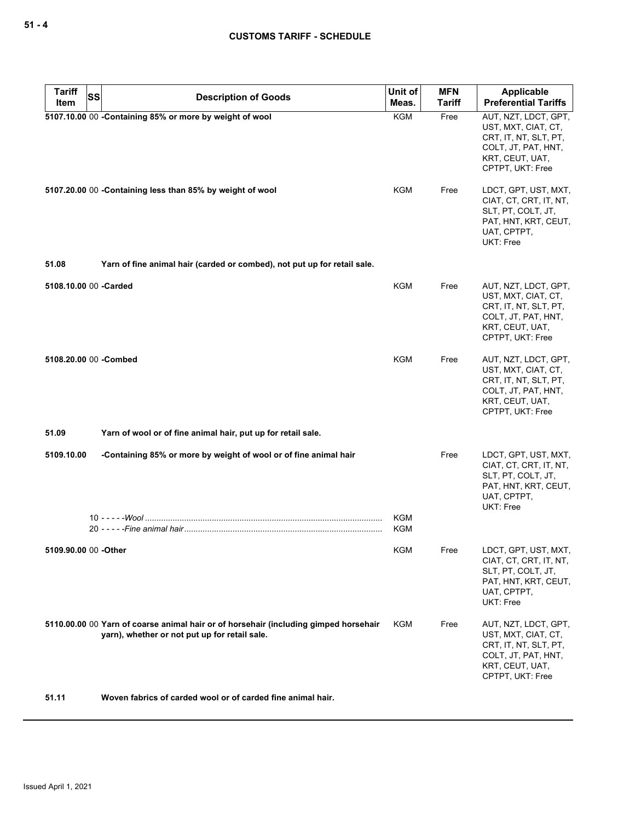| <b>Tariff</b><br><b>SS</b> | <b>Description of Goods</b>                                                                                                           | Unit of           | <b>MFN</b>    | Applicable                                                                                                                         |
|----------------------------|---------------------------------------------------------------------------------------------------------------------------------------|-------------------|---------------|------------------------------------------------------------------------------------------------------------------------------------|
| Item                       |                                                                                                                                       | Meas.             | <b>Tariff</b> | <b>Preferential Tariffs</b>                                                                                                        |
|                            | 5107.10.00 00 -Containing 85% or more by weight of wool                                                                               | <b>KGM</b>        | Free          | AUT, NZT, LDCT, GPT,<br>UST, MXT, CIAT, CT,<br>CRT, IT, NT, SLT, PT,<br>COLT, JT, PAT, HNT,<br>KRT, CEUT, UAT,<br>CPTPT, UKT: Free |
|                            | 5107.20.00 00 -Containing less than 85% by weight of wool                                                                             | KGM               | Free          | LDCT, GPT, UST, MXT,<br>CIAT, CT, CRT, IT, NT,<br>SLT, PT, COLT, JT,<br>PAT, HNT, KRT, CEUT,<br>UAT, CPTPT,<br>UKT: Free           |
| 51.08                      | Yarn of fine animal hair (carded or combed), not put up for retail sale.                                                              |                   |               |                                                                                                                                    |
| 5108.10.00 00 -Carded      |                                                                                                                                       | <b>KGM</b>        | Free          | AUT, NZT, LDCT, GPT,<br>UST, MXT, CIAT, CT,<br>CRT, IT, NT, SLT, PT,<br>COLT, JT, PAT, HNT,<br>KRT, CEUT, UAT,<br>CPTPT, UKT: Free |
| 5108.20.00 00 -Combed      |                                                                                                                                       | KGM               | Free          | AUT, NZT, LDCT, GPT,<br>UST, MXT, CIAT, CT,<br>CRT, IT, NT, SLT, PT,<br>COLT, JT, PAT, HNT,<br>KRT, CEUT, UAT,<br>CPTPT, UKT: Free |
| 51.09                      | Yarn of wool or of fine animal hair, put up for retail sale.                                                                          |                   |               |                                                                                                                                    |
| 5109.10.00                 | -Containing 85% or more by weight of wool or of fine animal hair                                                                      |                   | Free          | LDCT, GPT, UST, MXT,<br>CIAT, CT, CRT, IT, NT,<br>SLT, PT, COLT, JT,<br>PAT, HNT, KRT, CEUT,<br>UAT, CPTPT,<br>UKT: Free           |
|                            |                                                                                                                                       | KGM<br><b>KGM</b> |               |                                                                                                                                    |
| 5109.90.00 00 -Other       |                                                                                                                                       | <b>KGM</b>        | Free          | LDCT, GPT, UST, MXT,<br>CIAT, CT, CRT, IT, NT,<br>SLT, PT, COLT, JT,<br>PAT, HNT, KRT, CEUT,<br>UAT, CPTPT,<br>UKT: Free           |
|                            | 5110.00.00 00 Yarn of coarse animal hair or of horsehair (including gimped horsehair<br>yarn), whether or not put up for retail sale. | KGM               | Free          | AUT, NZT, LDCT, GPT,<br>UST, MXT, CIAT, CT,<br>CRT, IT, NT, SLT, PT,<br>COLT, JT, PAT, HNT,<br>KRT, CEUT, UAT,<br>CPTPT, UKT: Free |
| 51.11                      | Woven fabrics of carded wool or of carded fine animal hair.                                                                           |                   |               |                                                                                                                                    |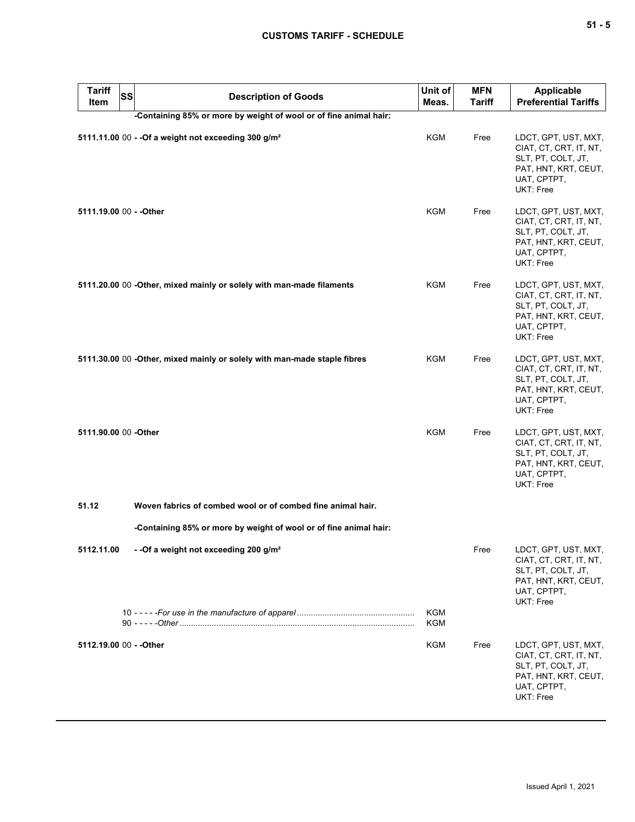| <b>Tariff</b><br>ltem   | ss <br><b>Description of Goods</b>                                       | Unit of<br>Meas. | <b>MFN</b><br><b>Tariff</b> | Applicable<br><b>Preferential Tariffs</b>                                                                                |
|-------------------------|--------------------------------------------------------------------------|------------------|-----------------------------|--------------------------------------------------------------------------------------------------------------------------|
|                         | -Containing 85% or more by weight of wool or of fine animal hair:        |                  |                             |                                                                                                                          |
|                         | 5111.11.00 00 - - Of a weight not exceeding 300 g/m <sup>2</sup>         | KGM              | Free                        | LDCT, GPT, UST, MXT,<br>CIAT, CT, CRT, IT, NT,<br>SLT, PT, COLT, JT,<br>PAT, HNT, KRT, CEUT,<br>UAT, CPTPT,<br>UKT: Free |
| 5111.19.00 00 - - Other |                                                                          | <b>KGM</b>       | Free                        | LDCT, GPT, UST, MXT,<br>CIAT, CT, CRT, IT, NT,<br>SLT, PT, COLT, JT,<br>PAT, HNT, KRT, CEUT,<br>UAT, CPTPT,<br>UKT: Free |
|                         | 5111.20.00 00 -Other, mixed mainly or solely with man-made filaments     | KGM              | Free                        | LDCT, GPT, UST, MXT,<br>CIAT, CT, CRT, IT, NT,<br>SLT, PT, COLT, JT,<br>PAT, HNT, KRT, CEUT,<br>UAT, CPTPT,<br>UKT: Free |
|                         | 5111.30.00 00 -Other, mixed mainly or solely with man-made staple fibres | KGM              | Free                        | LDCT, GPT, UST, MXT,<br>CIAT, CT, CRT, IT, NT,<br>SLT, PT, COLT, JT,<br>PAT, HNT, KRT, CEUT,<br>UAT, CPTPT,<br>UKT: Free |
| 5111.90.00 00 -Other    |                                                                          | <b>KGM</b>       | Free                        | LDCT, GPT, UST, MXT,<br>CIAT, CT, CRT, IT, NT,<br>SLT, PT, COLT, JT,<br>PAT, HNT, KRT, CEUT,<br>UAT, CPTPT,<br>UKT: Free |
| 51.12                   | Woven fabrics of combed wool or of combed fine animal hair.              |                  |                             |                                                                                                                          |
|                         | -Containing 85% or more by weight of wool or of fine animal hair:        |                  |                             |                                                                                                                          |
| 5112.11.00              | - - Of a weight not exceeding 200 g/m <sup>2</sup>                       |                  | Free                        | LDCT, GPT, UST, MXT,<br>CIAT, CT, CRT, IT, NT,<br>SLT, PT, COLT, JT,<br>PAT, HNT, KRT, CEUT,<br>UAT, CPTPT,<br>UKT: Free |
|                         |                                                                          | KGM<br>KGM       |                             |                                                                                                                          |
| 5112.19.00 00 - - Other |                                                                          | KGM              | Free                        | LDCT, GPT, UST, MXT,<br>CIAT, CT, CRT, IT, NT,<br>SLT, PT, COLT, JT,<br>PAT, HNT, KRT, CEUT,                             |

UAT, CPTPT, UKT: Free